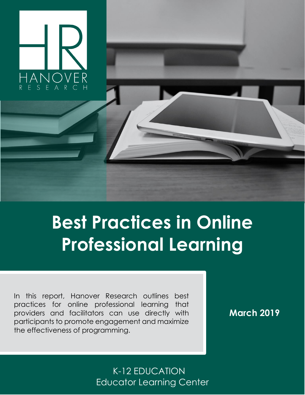

# **Best Practices in Online Professional Learning**

In this report, Hanover Research outlines best practices for online professional learning that providers and facilitators can use directly with participants to promote engagement and maximize the effectiveness of programming.

**March 2019**

## K-12 EDUCATION Educator Learning Center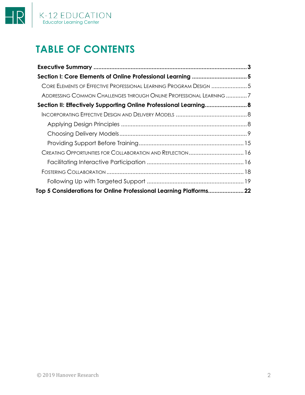

## **TABLE OF CONTENTS**

| CORE ELEMENTS OF EFFECTIVE PROFESSIONAL LEARNING PROGRAM DESIGN 5   |  |
|---------------------------------------------------------------------|--|
| ADDRESSING COMMON CHALLENGES THROUGH ONLINE PROFESSIONAL LEARNING 7 |  |
| Section II: Effectively Supporting Online Professional Learning 8   |  |
|                                                                     |  |
|                                                                     |  |
|                                                                     |  |
|                                                                     |  |
|                                                                     |  |
|                                                                     |  |
|                                                                     |  |
|                                                                     |  |
| Top 5 Considerations for Online Professional Learning Platforms22   |  |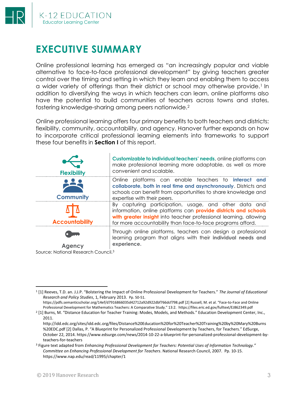

## <span id="page-2-0"></span>**EXECUTIVE SUMMARY**

Online professional learning has emerged as "an increasingly popular and viable alternative to face-to-face professional development" by giving teachers greater control over the timing and setting in which they learn and enabling them to access a wider variety of offerings than their district or school may otherwise provide.<sup>1</sup> In addition to diversifying the ways in which teachers can learn, online platforms also have the potential to build communities of teachers across towns and states, fostering knowledge-sharing among peers nationwide.<sup>2</sup>

Online professional learning offers four primary benefits to both teachers and districts: flexibility, community, accountability, and agency. Hanover further expands on how to incorporate critical professional learning elements into frameworks to support these four benefits in **Section I** of this report.

| <b>Flexibility</b>    | Customizable to individual teachers' needs, online platforms can<br>make professional learning more adaptable, as well as more<br>convenient and scalable.                                                                                                         |
|-----------------------|--------------------------------------------------------------------------------------------------------------------------------------------------------------------------------------------------------------------------------------------------------------------|
| <b>Community</b>      | Online platforms can enable teachers to <b>interact and</b><br>collaborate, both in real time and asynchronously. Districts and<br>schools can benefit from opportunities to share knowledge and<br>expertise with their peers.                                    |
| <b>Accountability</b> | By capturing participation, usage, and other data and<br>information, online platforms can <b>provide districts and schools</b><br>with greater insight into teacher professional learning, allowing<br>for more accountability than face-to-face programs afford. |
| <b>Agency</b>         | Through online platforms, teachers can design a professional<br>learning program that aligns with their individual needs and<br>experience.                                                                                                                        |

Source: National Research Council.<sup>3</sup>

<sup>1</sup> [1] Reeves, T.D. an. J.J.P. "Bolstering the Impact of Online Professional Development for Teachers." *The Journal of Educational Research and Policy Studies*, 1, February 2013. Pp. 50-51.

[https://pdfs.semanticscholar.org/14ef/d7916866035d42712a92d922dbf766dcf798.pdf \[2\]](https://pdfs.semanticscholar.org/14ef/d7916866035d42712a92d922dbf766dcf798.pdf%20%5b2) Russell, M. et al. "Face-to-Face and Online Professional Development for Mathematics Teachers: A Comparative Study." 13:2. https://files.eric.ed.gov/fulltext/EJ862349.pdf

<sup>2</sup> [1] Burns, M. "Distance Education for Teacher Training: Modes, Models, and Methods." Education Development Center, Inc., 2011.

http://idd.edc.org/sites/idd.edc.org/files/Distance%20Education%20for%20Teacher%20Training%20by%20Mary%20Burns %20EDC.pdf [2] Dallas, P. "A Blueprint for Personalized Professional Development by Teachers, for Teachers." EdSurge, October 22, 2014. https://www.edsurge.com/news/2014-10-22-a-blueprint-for-personalized-professional-development-byteachers-for-teachers

<sup>3</sup> Figure text adapted from *Enhancing Professional Development for Teachers: Potential Uses of Information Technology." Committee on Enhancing Professional Development for Teachers*. National Research Council, 2007. Pp. 10-15. https://www.nap.edu/read/11995/chapter/1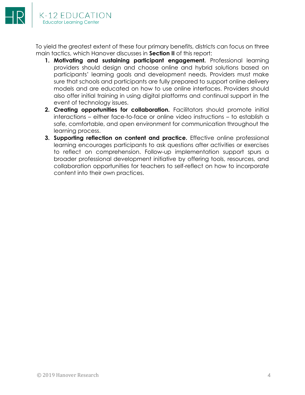To yield the greatest extent of these four primary benefits, districts can focus on three main tactics, which Hanover discusses in **Section II** of this report:

- **1. Motivating and sustaining participant engagement.** Professional learning providers should design and choose online and hybrid solutions based on participants' learning goals and development needs. Providers must make sure that schools and participants are fully prepared to support online delivery models and are educated on how to use online interfaces. Providers should also offer initial training in using digital platforms and continual support in the event of technology issues.
- **2. Creating opportunities for collaboration.** Facilitators should promote initial interactions – either face-to-face or online video instructions – to establish a safe, comfortable, and open environment for communication throughout the learning process.
- **3. Supporting reflection on content and practice.** Effective online professional learning encourages participants to ask questions after activities or exercises to reflect on comprehension. Follow-up implementation support spurs a broader professional development initiative by offering tools, resources, and collaboration opportunities for teachers to self-reflect on how to incorporate content into their own practices.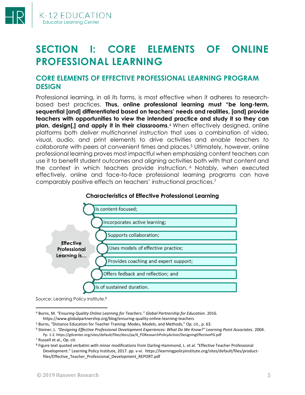<span id="page-4-0"></span>

### <span id="page-4-1"></span>**CORE ELEMENTS OF EFFECTIVE PROFESSIONAL LEARNING PROGRAM DESIGN**

Professional learning, in all its forms, is most effective when it adheres to researchbased best practices. **Thus, online professional learning must "be long-term, sequential [and] differentiated based on teachers' needs and realities, [and] provide teachers with opportunities to view the intended practice and study it so they can plan, design[,] and apply it in their classrooms**. <sup>4</sup> When effectively designed, online platforms both *deliver multichannel instruction* that uses a combination of video, visual, audio, and print elements to drive activities and *enable teachers to collaborate* with peers at convenient times and places.<sup>5</sup> Ultimately, however, online professional learning proves most impactful when emphasizing content teachers can use it to benefit student outcomes and aligning activities both with that content and the context in which teachers provide instruction. <sup>6</sup> Notably, when executed effectively, online and face-to-face professional learning programs can have comparably positive effects on teachers' instructional practices. 7



#### **Characteristics of Effective Professional Learning**

Source: Learning Policy Institute.<sup>8</sup>

<sup>4</sup> Burns, M. *"Ensuring Quality Online Learning for Teachers." Global Partnership for Education*. 2016. https://www.globalpartnership.org/blog/ensuring-quality-online-learning-teachers

<sup>5</sup> Burns, "Distance Education for Teacher Training: Modes, Models, and Methods," Op. cit., p. 63.

<sup>6</sup> Steiner, L. *"Designing Effective Professional Development Experiences: What Do We Know?" Learning Point Associates*. 2004. Pp. 1-2[. https://gtlcenter.org/sites/default/files/docs/pa/4\\_PDResearchPolicyAction/DesigningEffectivePD.pdf](https://gtlcenter.org/sites/default/files/docs/pa/4_PDResearchPolicyAction/DesigningEffectivePD.pdf)

<sup>7</sup> Russell et al., Op. cit.

<sup>8</sup> Figure text quoted verbatim with minor modifications from Darling-Hammond, L. et al. "Effective Teacher Professional Development." Learning Policy Institute, 2017. pp. v-vi. https://learningpolicyinstitute.org/sites/default/files/productfiles/Effective\_Teacher\_Professional\_Development\_REPORT.pdf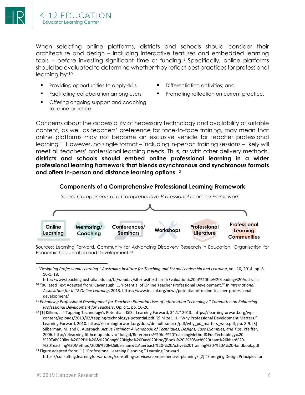When selecting online platforms, districts and schools should consider their architecture and design – including interactive features and embedded learning tools – before investing significant time or funding. <sup>9</sup> Specifically, online platforms should be evaluated to determine whether they reflect best practices for professional learning by:<sup>10</sup>

- **Providing opportunities to apply skills • Differentiating activities; and**
- 
- Facilitating collaboration among users; **•** Promoting reflection on current practice.
- Offering ongoing support and coaching to refine practice

Concerns about the accessibility of necessary technology and availability of suitable content, as well as teachers' preference for face-to-face training, may mean that online platforms may not become an exclusive vehicle for teacher professional learning.<sup>11</sup> However, no single format – including in-person training sessions – likely will meet all teachers' professional learning needs. Thus, as with other delivery methods, **districts and schools should embed online professional learning in a wider professional learning framework that blends asynchronous and synchronous formats and offers in-person and distance learning options**. 12





Sources: Learning Forward, Community for Advancing Discovery Research in Education, Organisation for Economic Cooperation and Development.<sup>13</sup>

<sup>9</sup> *"Designing Professional Learning." Australian Institute for Teaching and School Leadership and Learning*, vol. 10, 2014. pp. 8, 10-1, 18.

http://www.teachingaustralia.edu.au/ta/webdav/site/tasite/shared/Evaluation%20of%20the%20Leading%20Australia <sup>10</sup> "Bulleted Text Adapted from: Cavanaugh, C. 'Potential of Online Teacher Professional Development.'" In *International Association for K-12 Online Learning*, 2013. https://www.inacol.org/news/potential-of-online-teacher-professionaldevelopment/

<sup>11</sup> *Enhancing Professional Development for Teachers: Potential Uses of Information Technology." Committee on Enhancing Professional Development for Teachers*, Op. cit., pp. 16-20.

<sup>12</sup> [1] Killion, J. "'Tapping Technology's Potential.' JSD | Learning Forward, 34:1." 2013. [https://learningforward.org/wp](https://learningforward.org/wp-content/uploads/2013/02/tapping-technologys-potential.pdf%20%5b2)[content/uploads/2013/02/tapping-technologys-potential.pdf \[2\]](https://learningforward.org/wp-content/uploads/2013/02/tapping-technologys-potential.pdf%20%5b2) Mizell, H. "Why Professional Development Matters." Learning Forward, 2010. https://learningforward.org/docs/default-source/pdf/why\_pd\_matters\_web.pdf, pp. 8-9. [3] Silberman, M. and C. Auerbach. *Active Training: A Handbook of Techniques, Designs, Case Examples, and Tips*. Pfeiffer, 2006. http://elearning.fit.hcmup.edu.vn/~longld/References%20for%20TeachingMethod&EduTechnology%20- %20Tai%20lieu%20PPDH%20&%20Cong%20Nghe%20Day%20Hoc/(Book)%20-%20Sach%20tham%20khao%20- %20Teaching%20Method/2006%20M.Silberman&C.Auerbach%20-%20Active%20Training%20-%20A%20Handbook.pdf

<sup>13</sup> Figure adapted from: [1] "Professional Learning Planning." Learning Forward. https://consulting.learningforward.org/consulting-services/comprehensive-planning/ [2] "Emerging Design Principles for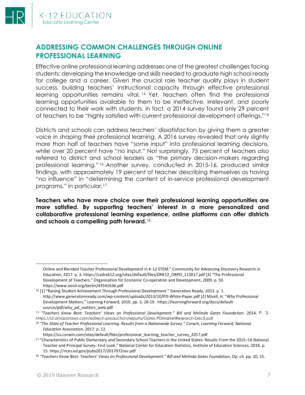### <span id="page-6-0"></span>**ADDRESSING COMMON CHALLENGES THROUGH ONLINE PROFESSIONAL LEARNING**

Effective online professional learning addresses one of the greatest challenges facing students: developing the knowledge and skills needed to graduate high school ready for college and a career. Given the crucial role teacher quality plays in student success, building teachers' instructional capacity through effective professional learning opportunities remains vital. <sup>14</sup> Yet, teachers often find the professional learning opportunities available to them to be ineffective, irrelevant, and poorly connected to their work with students. In fact, a 2014 survey found only 29 percent of teachers to be "highly satisfied with current professional development offerings."<sup>15</sup>

Districts and schools can address teachers' dissatisfaction by giving them a greater voice in shaping their professional learning. A 2016 survey revealed that only slightly more than half of teachers have "some input" into professional learning decisions, while over 20 percent have "no input." Not surprisingly, 75 percent of teachers also referred to district and school leaders as "the primary decision-makers regarding professional learning." <sup>16</sup> Another survey, conducted in 2015-16, produced similar findings, with approximately 19 percent of teacher describing themselves as having "no influence" in "determining the content of in-service professional development programs," in particular.<sup>17</sup>

**Teachers who have more choice over their professional learning opportunities are more satisfied. By supporting teachers' interest in a more personalized and collaborative professional learning experience, online platforms can offer districts and schools a compelling path forward.**<sup>18</sup>

https://us.corwin.com/sites/default/files/professional\_learning\_teacher\_survey\_2017.pdf

Online and Blended Teacher Professional Development in K-12 STEM." Community for Advancing Discovery Research in Education, 2017. p. 3. https://cadrek12.org/sites/default/files/DRK12\_OBPD\_113017.pdf [3] "The Professional Development of Teachers." Organisation for Economic Co-operation and Development, 2009. p. 50. <https://www.oecd.org/berlin/43541636.pdf>

<sup>14</sup> [1] "Raising Student Achievement Through Professional Development." Generation Ready, 2013. p. 1. http://www.generationready.com/wp-content/uploads/2013/10/PD-White-Paper.pdf [2] Mizell, H. "Why Professional Development Matters." Learning Forward, 2010. pp. 3, 18-19. https://learningforward.org/docs/defaultsource/pdf/why\_pd\_matters\_web.pdf.

<sup>15</sup> *"Teachers Know Best: Teachers' Views on Professional Development." Bill and Melinda Gates Foundation*. 2014. P. 3. <https://s3.amazonaws.com/edtech-production/reports/Gates-PDMarketResearch-Dec5.pdf>

<sup>16</sup> *"The State of Teacher Professional Learning. Results from a Nationwide Survey." Corwin, Learning Forward, National Education Association*. 2017. p. 12.

<sup>17</sup> "Characteristics of Public Elementary and Secondary School Teachers in the United States: Results From the 2015–16 National Teacher and Principal Survey. First Look." National Center for Education Statistics, Institute of Education Sciences, 2018. p. 15. https://nces.ed.gov/pubs2017/2017072rev.pdf

<sup>18</sup> *"Teachers Know Best: Teachers' Views on Professional Development." Bill and Melinda Gates Foundation*, Op. cit. pp. 10, 15.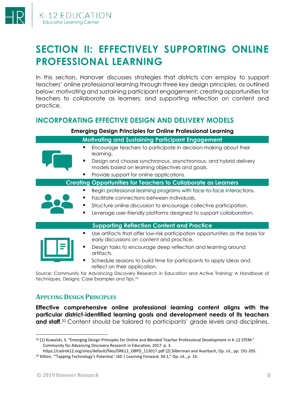<span id="page-7-0"></span>

In this section, Hanover discusses strategies that districts can employ to support teachers' online professional learning through three key design principles, as outlined below: motivating and sustaining participant engagement; creating opportunities for teachers to collaborate as learners; and supporting reflection on content and practice.

### <span id="page-7-1"></span>**INCORPORATING EFFECTIVE DESIGN AND DELIVERY MODELS**

#### **Emerging Design Principles for Online Professional Learning**

#### **Motivating and Sustaining Participant Engagement**

- Encourage teachers to participate in decision-making about their learning.
- Design and choose synchronous, asynchronous, and hybrid delivery models based on learning objectives and goals.
- Provide support for online applications.

#### **Creating Opportunities for Teachers to Collaborate as Learners**

- Begin professional learning programs with face-to-face interactions.
- Facilitate connections between individuals.
	- Structure online discussion to encourage collective participation.
	- Leverage user-friendly platforms designed to support collaboration.

Use artifacts that offer low-risk participation opportunities as the basis for

#### **Supporting Reflection Content and Practice**



- early discussions on content and practice. Design tasks to encourage deep reflection and learning around artifacts.
- Schedule sessions to build time for participants to apply ideas and reflect on their application.

Source: Community for Advancing Discovery Research in Education and Active Training: A Handbook of Techniques, Designs, Case Examples and Tips.<sup>19</sup>

#### <span id="page-7-2"></span>**APPLYING DESIGN PRINCIPLES**

**Effective comprehensive online professional learning content aligns with the particular district-identified learning goals and development needs of its teachers and staff.**<sup>20</sup> Content should be tailored to participants' grade levels and disciplines,

<sup>19</sup> [1] Kowalski, S. "Emerging Design Principles for Online and Blended Teacher Professional Development in K-12 STEM." Community for Advancing Discovery Research in Education, 2017. p. 3.

https://cadrek12.org/sites/default/files/DRK12\_OBPD\_113017.pdf [2] Silberman and Auerbach, Op. cit., pp. 191-205. <sup>20</sup> Killion, "Tapping Technology's Potential.' JSD | Learning Forward, 34:1," Op. cit., p. 14.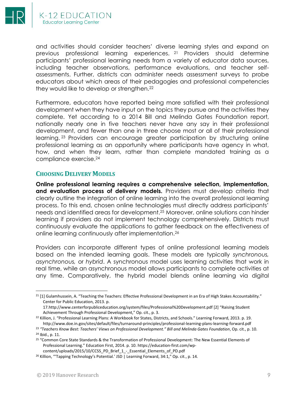

and activities should consider teachers' diverse learning styles and expand on previous professional learning experiences. <sup>21</sup> Providers should determine participants' professional learning needs from a variety of educator data sources, including teacher observations, performance evaluations, and teacher selfassessments. Further, districts can administer needs assessment surveys to probe educators about which areas of their pedagogies and professional competencies they would like to develop or strengthen.<sup>22</sup>

Furthermore, educators have reported being more satisfied with their professional development when they have input on the topics they pursue and the activities they complete. Yet according to a 2014 Bill and Melinda Gates Foundation report, nationally nearly one in five teachers never have any say in their professional development, and fewer than one in three choose most or all of their professional learning. <sup>23</sup> Providers can encourage greater participation by structuring online professional learning as an opportunity where participants have agency in what, how, and when they learn, rather than complete mandated training as a compliance exercise.<sup>24</sup>

#### <span id="page-8-0"></span>**CHOOSING DELIVERY MODELS**

**Online professional learning requires a comprehensive selection, implementation, and evaluation process of delivery models.** Providers must develop criteria that clearly outline the integration of online learning into the overall professional learning process. To this end, chosen online technologies must directly address participants' needs and identified areas for development.<sup>25</sup> Moreover, online solutions can hinder learning if providers do not implement technology comprehensively. Districts must continuously evaluate the applications to gather feedback on the effectiveness of online learning continuously after implementation.<sup>26</sup>

Providers can incorporate different types of online professional learning models based on the intended learning goals. These models are typically *synchronous, asynchronous,* or *hybrid*. A synchronous model uses learning activities that work in real time, while an asynchronous model allows participants to complete activities at any time. Comparatively, the hybrid model blends online learning via digital

<sup>&</sup>lt;sup>21</sup> [1] Gulamhussein, A. "Teaching the Teachers: Effective Professional Development in an Era of High Stakes Accountability." Center for Public Education, 2013. p.

<sup>17.</sup>http://www.centerforpubliceducation.org/system/files/Professional%20Development.pdf [2] "Raising Student Achievement Through Professional Development," Op. cit., p. 3.

<sup>&</sup>lt;sup>22</sup> Killion, J. "Professional Learning Plans: A Workbook for States, Districts, and Schools." Learning Forward, 2013. p. 19. http://www.doe.in.gov/sites/default/files/turnaround-principles/professional-learning-plans-learning-forward.pdf

<sup>23</sup> *"Teachers Know Best: Teachers' Views on Professional Development." Bill and Melinda Gates Foundation*, Op. cit., p. 10. <sup>24</sup> Ibid., p. 11.

<sup>25</sup> "Common Core State Standards & the Transformation of Professional Development: The New Essential Elements of Professional Learning." Education First, 2014. p. 10. https://education-first.com/wpcontent/uploads/2015/10/CCSS\_PD\_Brief\_1\_-\_Essential\_Elements\_of\_PD.pdf

<sup>&</sup>lt;sup>26</sup> Killion, "Tapping Technology's Potential.' JSD | Learning Forward, 34:1," Op. cit., p. 14.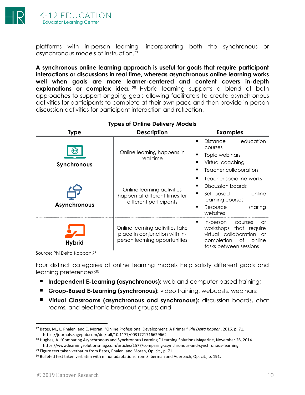

platforms with in-person learning, incorporating both the synchronous or asynchronous models of instruction.<sup>27</sup>

**A synchronous online learning approach is useful for goals that require participant interactions or discussions in real time, whereas asynchronous online learning works well when goals are more learner-centered and content covers in-depth explanations or complex idea.** <sup>28</sup> Hybrid learning supports a blend of both approaches to support ongoing goals allowing facilitators to create asynchronous activities for participants to complete at their own pace and then provide in-person discussion activities for participant interaction and reflection.

| <b>Type</b>         | <b>Description</b>                                                                                | <b>Examples</b>                                                                                                                               |
|---------------------|---------------------------------------------------------------------------------------------------|-----------------------------------------------------------------------------------------------------------------------------------------------|
| Synchronous         | Online learning happens in<br>real time                                                           | education<br><b>Distance</b><br>п<br>courses<br>Topic webinars<br>п<br>Virtual coaching<br>г<br>Teacher collaboration                         |
| <b>Asynchronous</b> | Online learning activities<br>happen at different times for<br>different participants             | Teacher social networks<br>Discussion boards<br>online<br>Self-based<br>п<br>learning courses<br>٠<br>sharing<br>Resource<br>websites         |
| <b>Hybrid</b>       | Online learning activities take<br>place in conjunction with in-<br>person learning opportunities | п<br>In-person<br>courses<br>or<br>workshops that require<br>virtual collaboration or<br>completion<br>of<br>online<br>tasks between sessions |

### **Types of Online Delivery Models**

Source: Phi Delta Kappan.<sup>29</sup>

Four distinct categories of online learning models help satisfy different goals and learning preferences:<sup>30</sup>

- **Independent E-Learning (asynchronous):** web and computer-based training;
- **Group-Based E-Learning (synchronous):** video training, webcasts, webinars;
- **Virtual Classrooms (asynchronous and synchronous):** discussion boards, chat rooms, and electronic breakout groups; and

<sup>27</sup> Bates, M., L. Phalen, and C. Moran. "Online Professional Development: A Primer." *Phi Delta Kappan*, 2016. p. 71. https://journals.sagepub.com/doi/full/10.1177/0031721716629662

<sup>&</sup>lt;sup>28</sup> Hughes, A. "Comparing Asynchronous and Synchronous Learning." Learning Solutions Magazine, November 26, 2014. https://www.learningsolutionsmag.com/articles/1577/comparing-asynchronous-and-synchronous-learning

<sup>&</sup>lt;sup>29</sup> Figure text taken verbatim from Bates, Phalen, and Moran, Op. cit., p. 71.

<sup>&</sup>lt;sup>30</sup> Bulleted text taken verbatim with minor adaptations from Silberman and Auerbach, Op. cit., p. 191.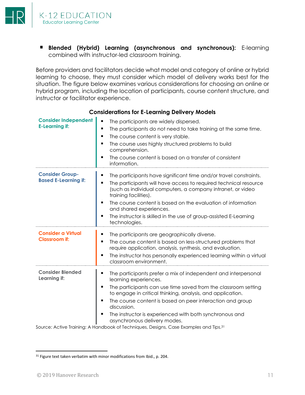

**Blended (Hybrid) Learning (asynchronous and synchronous):** E-learning combined with instructor-led classroom training.

Before providers and facilitators decide what model and category of online or hybrid learning to choose, they must consider which model of delivery works best for the situation. The figure below examines various considerations for choosing an online or hybrid program, including the location of participants, course content structure, and instructor or facilitator experience.

| <b>Consider Independent</b><br><b>E-Learning if:</b>  | п<br>The participants are widely dispersed.<br>The participants do not need to take training at the same time.<br>п<br>The course content is very stable.<br>■<br>The course uses highly structured problems to build<br>comprehension.<br>The course content is based on a transfer of consistent<br>п<br>information.                                                                                                  |
|-------------------------------------------------------|--------------------------------------------------------------------------------------------------------------------------------------------------------------------------------------------------------------------------------------------------------------------------------------------------------------------------------------------------------------------------------------------------------------------------|
| <b>Consider Group-</b><br><b>Based E-Learning if:</b> | The participants have significant time and/or travel constraints.<br>The participants will have access to required technical resource<br>▪<br>(such as individual computers, a company intranet, or video<br>training facilities).<br>The course content is based on the evaluation of information<br>п<br>and shared experiences.<br>The instructor is skilled in the use of group-assisted E-Learning<br>technologies. |
| <b>Consider a Virtual</b><br><b>Classroom if:</b>     | The participants are geographically diverse.<br>п<br>The course content is based on less-structured problems that<br>п<br>require application, analysis, synthesis, and evaluation.<br>The instructor has personally experienced learning within a virtual<br>classroom environment.                                                                                                                                     |
| <b>Consider Blended</b><br>Learning if:               | The participants prefer a mix of independent and interpersonal<br>learning experiences.<br>The participants can use time saved from the classroom setting<br>to engage in critical thinking, analysis, and application.<br>The course content is based on peer interaction and group<br>discussion.<br>The instructor is experienced with both synchronous and<br>п<br>asynchronous delivery modes.                      |
|                                                       | Source: Active Training: A Handbook of Techniques, Designs, Case Examples and Tips. <sup>31</sup>                                                                                                                                                                                                                                                                                                                        |

**Considerations for E-Learning Delivery Models**

<sup>&</sup>lt;sup>31</sup> Figure text taken verbatim with minor modifications from Ibid., p. 204.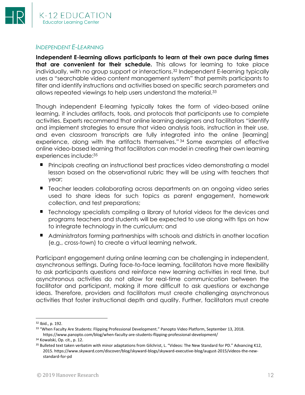#### *INDEPENDENT E-LEARNING*

**Independent E-learning allows participants to learn at their own pace during times that are convenient for their schedule.** This allows for learning to take place individually, with no group support or interactions.<sup>32</sup> Independent E-learning typically uses a "searchable video content management system" that permits participants to filter and identify instructions and activities based on specific search parameters and allows repeated viewings to help users understand the material.<sup>33</sup>

Though independent E-learning typically takes the form of video-based online learning, it includes artifacts, tools, and protocols that participants use to complete activities. Experts recommend that online learning designers and facilitators "identify and implement strategies to ensure that video analysis tools, instruction in their use, and even classroom transcripts are fully integrated into the online [learning] experience, along with the artifacts themselves." <sup>34</sup> Some examples of effective online video-based learning that facilitators can model in creating their own learning experiences include:<sup>35</sup>

- Principals creating an instructional best practices video demonstrating a model lesson based on the observational rubric they will be using with teachers that year;
- **Teacher leaders collaborating across departments on an ongoing video series** used to share ideas for such topics as parent engagement, homework collection, and test preparations;
- Technology specialists compiling a library of tutorial videos for the devices and programs teachers and students will be expected to use along with tips on how to integrate technology in the curriculum; and
- **Administrators forming partnerships with schools and districts in another location** (e.g., cross-town) to create a virtual learning network.

Participant engagement during online learning can be challenging in independent, asynchronous settings. During face-to-face learning, facilitators have more flexibility to ask participants questions and reinforce new learning activities in real time, but asynchronous activities do not allow for real-time communication between the facilitator and participant, making it more difficult to ask questions or exchange ideas. Therefore, providers and facilitators must create challenging asynchronous activities that foster instructional depth and quality. Further, facilitators must create

<sup>32</sup> Ibid., p. 192.

<sup>33</sup> "When Faculty Are Students: Flipping Professional Development." Panopto Video Platform, September 13, 2018. https://www.panopto.com/blog/when-faculty-are-students-flipping-professional-development/

<sup>34</sup> Kowalski, Op. cit., p. 12.

<sup>35</sup> Bulleted text taken verbatim with minor adaptations from Gilchrist, L. "Videos: The New Standard for PD." Advancing K12, 2015. https://www.skyward.com/discover/blog/skyward-blogs/skyward-executive-blog/august-2015/videos-the-newstandard-for-pd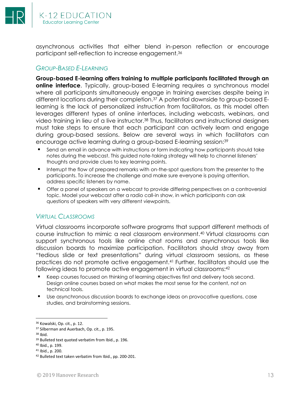

asynchronous activities that either blend in-person reflection or encourage participant self-reflection to increase engagement.<sup>36</sup>

#### *GROUP-BASED E-LEARNING*

**Group-based E-learning offers training to multiple participants facilitated through an online interface.** Typically, group-based E-learning requires a synchronous model where all participants simultaneously engage in training exercises despite being in different locations during their completion.<sup>37</sup> A potential downside to group-based Elearning is the lack of personalized instruction from facilitators, as this model often leverages different types of online interfaces, including webcasts, webinars, and video training in lieu of a live instructor.<sup>38</sup> Thus, facilitators and instructional designers must take steps to ensure that each participant can actively learn and engage during group-based sessions. Below are several ways in which facilitators can encourage active learning during a group-based E-learning session:<sup>39</sup>

- Send an email in advance with instructions or form indicating how participants should take notes during the webcast. This guided note-taking strategy will help to channel listeners' thoughts and provide clues to key learning points.
- **■** Interrupt the flow of prepared remarks with on-the-spot questions from the presenter to the participants. To increase the challenge and make sure everyone is paying attention, address specific listeners by name.
- Offer a panel of speakers on a webcast to provide differing perspectives on a controversial topic. Model your webcast after a radio call-in show, in which participants can ask questions of speakers with very different viewpoints.

#### *VIRTUAL CLASSROOMS*

Virtual classrooms incorporate software programs that support different methods of course instruction to mimic a real classroom environment.<sup>40</sup> Virtual classrooms can support synchronous tools like online chat rooms and asynchronous tools like discussion boards to maximize participation. Facilitators should stray away from "tedious slide or text presentations" during virtual classroom sessions, as these practices do not promote active engagement.<sup>41</sup> Further, facilitators should use the following ideas to promote active engagement in virtual classrooms:<sup>42</sup>

- Keep courses focused on thinking of learning objectives first and delivery tools second. Design online courses based on what makes the most sense for the content, not on technical tools.
- Use asynchronous discussion boards to exchange ideas on provocative questions, case studies, and brainstorming sessions.

<sup>36</sup> Kowalski, Op. cit., p. 12.

<sup>37</sup> Silberman and Auerbach, Op. cit., p. 195.

 $38$  Ibid.

<sup>39</sup> Bulleted text quoted verbatim from Ibid., p. 196.

<sup>40</sup> Ibid., p. 199.

<sup>41</sup> Ibid., p. 200.

<sup>42</sup> Bulleted text taken verbatim from Ibid., pp. 200-201.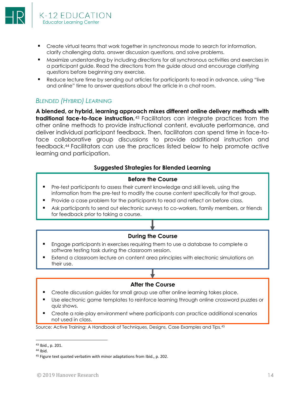- Create virtual teams that work together in synchronous mode to search for information, clarify challenging data, answer discussion questions, and solve problems.
- Maximize understanding by including directions for all synchronous activities and exercises in a participant guide. Read the directions from the guide aloud and encourage clarifying questions before beginning any exercise.
- Reduce lecture time by sending out articles for participants to read in advance, using "live and online" time to answer questions about the article in a chat room.

#### *BLENDED (HYBRID) LEARNING*

**A blended, or hybrid, learning approach mixes different online delivery methods with traditional face-to-face instruction.**<sup>43</sup> Facilitators can integrate practices from the other online methods to provide instructional content, evaluate performance, and deliver individual participant feedback. Then, facilitators can spend time in face-toface collaborative group discussions to provide additional instruction and feedback.<sup>44</sup> Facilitators can use the practices listed below to help promote active learning and participation.

#### **Suggested Strategies for Blended Learning**

#### **Before the Course**

- Pre-test participants to assess their current knowledge and skill levels, using the information from the pre-test to modify the course content specifically for that group.
- Provide a case problem for the participants to read and reflect on before class.
- Ask participants to send out electronic surveys to co-workers, family members, or friends for feedback prior to taking a course.

#### **During the Course**

- Engage participants in exercises requiring them to use a database to complete a software testing task during the classroom session.
- Extend a classroom lecture on content area principles with electronic simulations on their use.

#### **After the Course**

- Create discussion guides for small group use after online learning takes place.
- Use electronic game templates to reinforce learning through online crossword puzzles or quiz shows.
- Create a role-play environment where participants can practice additional scenarios not used in class.

Source: Active Training: A Handbook of Techniques, Designs, Case Examples and Tips.<sup>45</sup>

<sup>43</sup> Ibid., p. 201.

<sup>44</sup> Ibid.

<sup>&</sup>lt;sup>45</sup> Figure text quoted verbatim with minor adaptations from Ibid., p. 202.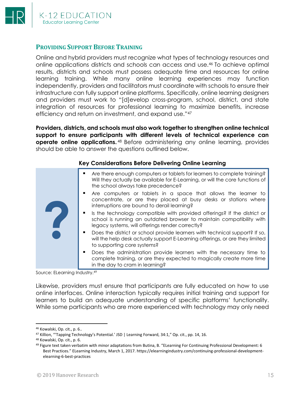

#### <span id="page-14-0"></span>**PROVIDING SUPPORT BEFORE TRAINING**

Online and hybrid providers must recognize what types of technology resources and online applications districts and schools can access and use.<sup>46</sup> To achieve optimal results, districts and schools must possess adequate time and resources for online learning training. While many online learning experiences may function independently, providers and facilitators must coordinate with schools to ensure their infrastructure can fully support online platforms. Specifically, online learning designers and providers must work to "[d]evelop cross-program, school, district, and state integration of resources for professional learning to maximize benefits, increase efficiency and return on investment, and expand use."<sup>47</sup>

**Providers, districts, and schools must also work together to strengthen online technical support to ensure participants with different levels of technical experience can operate online applications.** <sup>48</sup> Before administering any online learning, provides should be able to answer the questions outlined below.

#### **Key Considerations Before Delivering Online Learning**

| Are there enough computers or tablets for learners to complete training?<br>Will they actually be available for E-Learning, or will the core functions of                                            |
|------------------------------------------------------------------------------------------------------------------------------------------------------------------------------------------------------|
| the school always take precedence?                                                                                                                                                                   |
| Are computers or tablets in a space that allows the learner to<br>concentrate, or are they placed at busy desks or stations where<br>interruptions are bound to derail learning?                     |
| Is the technology compatible with provided offerings? If the district or<br>school is running an outdated browser to maintain compatibility with<br>legacy systems, will offerings render correctly? |
| Does the district or school provide learners with technical support? If so,<br>will the help desk actually support E-Learning offerings, or are they limited<br>to supporting core systems?          |
| Does the administration provide learners with the necessary time to<br>complete training, or are they expected to magically create more time<br>in the day to cram in learning?                      |
|                                                                                                                                                                                                      |

Source: ELearning Industry.<sup>49</sup>

Likewise, providers must ensure that participants are fully educated on how to use online interfaces. Online interaction typically requires initial training and support for learners to build an adequate understanding of specific platforms' functionality. While some participants who are more experienced with technology may only need

<sup>46</sup> Kowalski, Op. cit., p. 6..

<sup>47</sup> Killion, "'Tapping Technology's Potential.' JSD | Learning Forward, 34:1," Op. cit., pp. 14, 16.

<sup>48</sup> Kowalski, Op. cit., p. 6.

<sup>49</sup> Figure text taken verbatim with minor adaptations from Butina, B. "ELearning For Continuing Professional Development: 6 Best Practices." ELearning Industry, March 1, 2017. https://elearningindustry.com/continuing-professional-developmentelearning-6-best-practices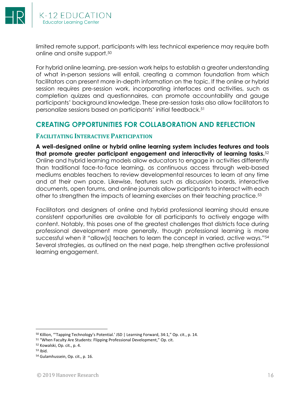

limited remote support, participants with less technical experience may require both online and onsite support.<sup>50</sup>

For hybrid online learning, pre-session work helps to establish a greater understanding of what in-person sessions will entail, creating a common foundation from which facilitators can present more in-depth information on the topic. If the online or hybrid session requires pre-session work, incorporating interfaces and activities, such as completion quizzes and questionnaires, can promote accountability and gauge participants' background knowledge. These pre-session tasks also allow facilitators to personalize sessions based on participants' initial feedback.<sup>51</sup>

### <span id="page-15-0"></span>**CREATING OPPORTUNITIES FOR COLLABORATION AND REFLECTION**

#### <span id="page-15-1"></span>**FACILITATING INTERACTIVE PARTICIPATION**

**A well-designed online or hybrid online learning system includes features and tools that promote greater participant engagement and interactivity of learning tasks.**<sup>52</sup> Online and hybrid learning models allow educators to engage in activities differently than traditional face-to-face learning, as continuous access through web-based mediums enables teachers to review developmental resources to learn at any time and at their own pace. Likewise, features such as discussion boards, interactive documents, open forums, and online journals allow participants to interact with each other to strengthen the impacts of learning exercises on their teaching practice.<sup>53</sup>

Facilitators and designers of online and hybrid professional learning should ensure consistent opportunities are available for all participants to actively engage with content. Notably, this poses one of the greatest challenges that districts face during professional development more generally, though professional learning is more successful when it "allow[s] teachers to learn the concept in varied, *active* ways."<sup>54</sup> Several strategies, as outlined on the next page, help strengthen active professional learning engagement.

<sup>53</sup> Ibid.

<sup>50</sup> Killion, "'Tapping Technology's Potential.' JSD | Learning Forward, 34:1," Op. cit., p. 14.

<sup>51</sup> "When Faculty Are Students: Flipping Professional Development," Op. cit.

<sup>52</sup> Kowalski, Op. cit., p. 4.

<sup>54</sup> Gulamhussein, Op. cit., p. 16.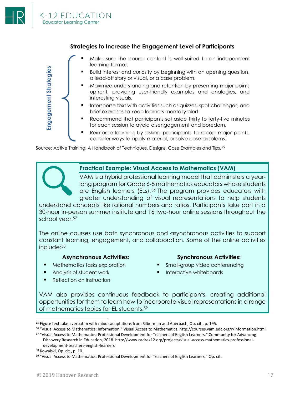**Engagement Strategies**

Engagement Strategies



#### **Strategies to Increase the Engagement Level of Participants**

- Make sure the course content is well-suited to an independent learning format.
	- Build interest and curiosity by beginning with an opening question, a lead-off story or visual, or a case problem.
	- Maximize understanding and retention by presenting major points upfront, providing user-friendly examples and analogies, and interesting visuals.
	- Intersperse text with activities such as quizzes, spot challenges, and brief exercises to keep learners mentally alert.
	- Recommend that participants set aside thirty to forty-five minutes for each session to avoid disengagement and boredom.
	- Reinforce learning by asking participants to recap major points, consider ways to apply material, or solve case problems.

Source: Active Training: A Handbook of Techniques, Designs, Case Examples and Tips.<sup>55</sup>

#### **Practical Example: Visual Access to Mathematics (VAM)**

VAM is a hybrid professional learning model that administers a yearlong program for Grade 6-8 mathematics educators whose students are English learners (ELs).<sup>56</sup> The program provides educators with greater understanding of visual representations to help students

understand concepts like rational numbers and ratios. Participants take part in a 30-hour in-person summer institute and 16 two-hour online sessions throughout the school year.<sup>57</sup>

The online courses use both synchronous and asynchronous activities to support constant learning, engagement, and collaboration. Some of the online activities include:<sup>58</sup>

#### **Asynchronous Activities: Synchronous Activities:**

- Mathematics tasks exploration
- Analysis of student work
- **Reflection on instruction**

- Small-group video conferencing
- Interactive whiteboards

VAM also provides continuous feedback to participants, creating additional opportunities for them to learn how to incorporate visual representations in a range of mathematics topics for EL students.<sup>59</sup>

<sup>&</sup>lt;sup>55</sup> Figure text taken verbatim with minor adaptations from Silberman and Auerbach, Op. cit., p. 195.

<sup>56</sup> "Visual Access to Mathematics: Information." Visual Access to Mathematics. http://courses.vam.edc.org/r/information.html

<sup>57</sup> "Visual Access to Mathematics: Professional Development for Teachers of English Learners." Community for Advancing Discovery Research in Education, 2018. http://www.cadrek12.org/projects/visual-access-mathematics-professionaldevelopment-teachers-english-learners

<sup>58</sup> Kowalski, Op. cit., p. 10.

<sup>59</sup> "Visual Access to Mathematics: Professional Development for Teachers of English Learners," Op. cit.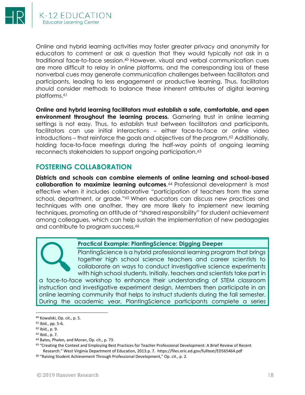

Online and hybrid learning activities may foster greater privacy and anonymity for educators to comment or ask a question that they would typically not ask in a traditional face-to-face session.<sup>60</sup> However, visual and verbal communication cues are more difficult to relay in online platforms, and the corresponding loss of these nonverbal cues may generate communication challenges between facilitators and participants, leading to less engagement or productive learning. Thus, facilitators should consider methods to balance these inherent attributes of digital learning platforms.<sup>61</sup>

**Online and hybrid learning facilitators must establish a safe, comfortable, and open environment throughout the learning process.** Garnering trust in online learning settings is not easy. Thus, to establish trust between facilitators and participants, facilitators can use initial interactions – either face-to-face or online video introductions – that reinforce the goals and objectives of the program.<sup>62</sup> Additionally, holding face-to-face meetings during the half-way points of ongoing learning reconnects stakeholders to support ongoing participation.<sup>63</sup>

### <span id="page-17-0"></span>**FOSTERING COLLABORATION**

**Districts and schools can combine elements of online learning and school-based collaboration to maximize learning outcomes**. <sup>64</sup> Professional development is most effective when it includes collaborative "participation of teachers from the same school, department, or grade."<sup>65</sup> When educators can discuss new practices and techniques with one another, they are more likely to implement new learning techniques, promoting an attitude of "shared responsibility" for student achievement among colleagues, which can help sustain the implementation of new pedagogies and contribute to program success.<sup>66</sup>



#### **Practical Example: PlantingScience: Digging Deeper**

PlantingScience is a hybrid professional learning program that brings together high school science teachers and career scientists to collaborate on ways to conduct investigative science experiments with high school students. Initially, teachers and scientists take part in

a face-to-face workshop to enhance their understanding of STEM classroom instruction and investigative experiment design. Members then participate in an online learning community that helps to instruct students during the fall semester. During the academic year, PlantingScience participants complete a series

<sup>60</sup> Kowalski, Op. cit., p. 5.

<sup>61</sup> Ibid., pp. 5-6.

<sup>62</sup> Ibid., p. 9.

<sup>63</sup> Ibid., p. 7.

<sup>64</sup> Bates, Phalen, and Moran, Op. cit., p. 73.

<sup>65</sup> "Creating the Context and Employing Best Practices for Teacher Professional Development: A Brief Review of Recent Research." West Virginia Department of Education, 2013.p. 7. https://files.eric.ed.gov/fulltext/ED565464.pdf

<sup>66</sup> "Raising Student Achievement Through Professional Development," Op. cit., p. 2.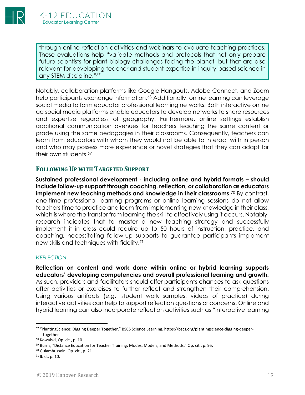

through online reflection activities and webinars to evaluate teaching practices. These evaluations help "validate methods and protocols that not only prepare future scientists for plant biology challenges facing the planet, but that are also relevant for developing teacher and student expertise in inquiry-based science in any STEM discipline."<sup>67</sup>

Notably, collaboration platforms like Google Hangouts, Adobe Connect, and Zoom help participants exchange information.<sup>68</sup> Additionally, online learning can leverage social media to form educator professional learning networks. Both interactive online ad social media platforms enable educators to develop networks to share resources and expertise regardless of geography. Furthermore, online settings establish additional communication avenues for teachers teaching the same content or grade using the same pedagogies in their classrooms. Consequently, teachers can learn from educators with whom they would not be able to interact with in person and who may possess more experience or novel strategies that they can adapt for their own students.<sup>69</sup>

#### <span id="page-18-0"></span>**FOLLOWING UP WITH TARGETED SUPPORT**

**Sustained professional development - including online and hybrid formats – should include follow-up support through coaching, reflection, or collaboration as educators implement new teaching methods and knowledge in their classrooms**. <sup>70</sup> By contrast, one-time professional learning programs or online learning sessions do not allow teachers time to practice and learn from implementing new knowledge in their class, which is where the transfer from learning the skill to effectively using it occurs. Notably, research indicates that to master a new teaching strategy and successfully implement it in class could require up to 50 hours of instruction, practice, and coaching, necessitating follow-up supports to guarantee participants implement new skills and techniques with fidelity.<sup>71</sup>

#### *REFLECTION*

**Reflection on content and work done within online or hybrid learning supports educators' developing competencies and overall professional learning and growth.** As such, providers and facilitators should offer participants chances to ask questions after activities or exercises to further reflect and strengthen their comprehension. Using various artifacts (e.g., student work samples, videos of practice) during interactive activities can help to support reflection questions or concerns. Online and hybrid learning can also incorporate reflection activities such as "interactive learning

<sup>67</sup> "PlantingScience: Digging Deeper Together." BSCS Science Learning. https://bscs.org/plantingscience-digging-deepertogether

<sup>68</sup> Kowalski, Op. cit., p. 10.

<sup>&</sup>lt;sup>69</sup> Burns, "Distance Education for Teacher Training: Modes, Models, and Methods," Op. cit., p. 95.

<sup>70</sup> Gulamhussein, Op. cit., p. 21.

<sup>71</sup> Ibid., p. 10.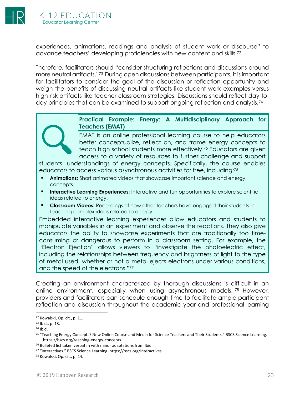experiences, animations, readings and analysis of student work or discourse" to advance teachers' developing proficiencies with new content and skills.<sup>72</sup>

Therefore, facilitators should "consider structuring reflections and discussions around more neutral artifacts."<sup>73</sup> During open discussions between participants, it is important for facilitators to consider the goal of the discussion or reflection opportunity and weigh the benefits of discussing neutral artifacts like student work examples versus high-risk artifacts like teacher classroom strategies. Discussions should reflect day-today principles that can be examined to support ongoing reflection and analysis.<sup>74</sup>

#### **Practical Example: Energy: A Multidisciplinary Approach for Teachers (EMAT)**

EMAT is an online professional learning course to help educators better conceptualize, reflect on, and frame energy concepts to teach high school students more effectively.<sup>75</sup> Educators are given access to a variety of resources to further challenge and support

students' understandings of energy concepts. Specifically, the course enables educators to access various asynchronous activities for free, including:<sup>76</sup>

- **Animations:** Short animated videos that showcase important science and energy concepts.
- **Interactive Learning Experiences:** Interactive and fun opportunities to explore scientific ideas related to energy.
- **Example 1 Classroom Videos:** Recordings of how other teachers have engaged their students in teaching complex ideas related to energy.

Embedded interactive learning experiences allow educators and students to manipulate variables in an experiment and observe the reactions. They also give educators the ability to showcase experiments that are traditionally too timeconsuming or dangerous to perform in a classroom setting. For example, the "Electron Ejection" allows viewers to "investigate the photoelectric effect, including the relationships between frequency and brightness of light to the type of metal used, whether or not a metal ejects electrons under various conditions, and the speed of the electrons."<sup>77</sup>

Creating an environment characterized by thorough discussions is difficult in an online environment, especially when using asynchronous models. <sup>78</sup> However, providers and facilitators can schedule enough time to facilitate ample participant reflection and discussion throughout the academic year and professional learning

<sup>72</sup> Kowalski, Op. cit., p. 11.

<sup>73</sup> Ibid., p. 13.

<sup>74</sup> Ibid.

<sup>75</sup> "Teaching Energy Concepts? New Online Course and Media for Science Teachers and Their Students." BSCS Science Learning. https://bscs.org/teaching-energy-concepts

<sup>76</sup> Bulleted list taken verbatim with minor adaptations from Ibid.

<sup>77</sup> "Interactives." BSCS Science Learning. https://bscs.org/interactives

<sup>78</sup> Kowalski, Op. cit., p. 14.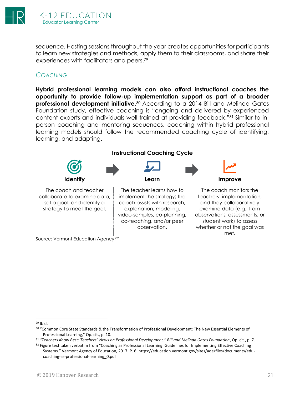

sequence. Hosting sessions throughout the year creates opportunities for participants to learn new strategies and methods, apply them to their classrooms, and share their experiences with facilitators and peers.<sup>79</sup>

#### *COACHING*

**Hybrid professional learning models can also afford instructional coaches the opportunity to provide follow-up implementation support as part of a broader professional development initiative**. <sup>80</sup> According to a 2014 Bill and Melinda Gates Foundation study, effective coaching is "ongoing and delivered by experienced content experts and individuals well trained at providing feedback."<sup>81</sup> Similar to inperson coaching and mentoring sequences, coaching within hybrid professional learning models should follow the recommended coaching cycle of identifying, learning, and adapting.

#### **Instructional Coaching Cycle**



Source: Vermont Education Agency.<sup>82</sup>

<sup>79</sup> Ibid.

met.

<sup>80</sup> "Common Core State Standards & the Transformation of Professional Development: The New Essential Elements of Professional Learning," Op. cit., p. 10.

<sup>81</sup> *"Teachers Know Best: Teachers' Views on Professional Development." Bill and Melinda Gates Foundation*, Op. cit., p. 7.

<sup>82</sup> Figure text taken verbatim from "Coaching as Professional Learning: Guidelines for Implementing Effective Coaching Systems." Vermont Agency of Education, 2017. P. 6. https://education.vermont.gov/sites/aoe/files/documents/educoaching-as-professional-learning\_0.pdf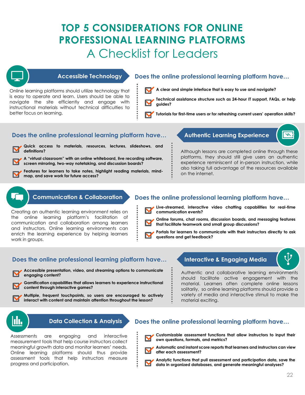## <span id="page-21-0"></span>**TOP 5 CONSIDERATIONS FOR ONLINE PROFESSIONAL LEARNING PLATFORMS** A Checklist for Leaders



ıh.

#### **Accessible Technology Does the online professional learning platform have…**

Online learning platforms should utilize technology that is easy to operate and learn. Users should be able to navigate the site efficiently and engage with instructional materials without technical difficulties to better focus on learning.

- **A clear and simple interface that is easy to use and navigate?**
- **Technical assistance structure such as 24-hour IT support, FAQs, or help guides?**
- **Tutorials for first-time users or for refreshing current users' operation skills?**

#### **Does the online professional learning platform have... Authentic Learning Experience**

**Quick access to materials, resources, lectures, slideshows, and definitions?**

**A "virtual classroom" with an online whiteboard, live recording software, screen mirroring, two-way notetaking, and discussion boards?**

**Features for learners to take notes, highlight reading materials, mindmap, and save work for future access?**

Although lessons are completed online through these platforms, they should still give users an authentic experience reminiscent of in-person instruction, while also taking full advantage of the resources available on the internet.

Creating an authentic learning environment relies on the online learning platform's facilitation of communication and collaboration among learners and instructors. Online learning environments can enrich the learning experience by helping learners work in groups.

#### **Communication & Collaboration > Does the online professional learning platform have...**

**Live-streamed, interactive video chatting capabilities for real-time communication events?**

**Online forums, chat rooms, discussion boards, and messaging features that facilitate teamwork and small group discussions?**

**Portals for learners to communicate with their instructors directly to ask questions and get feedback?**

#### **Does the online professional learning platform have… Interactive & Engaging Media**

**Accessible presentation, video, and streaming options to communicate engaging content?**



**Multiple, frequent touchpoints, so users are encouraged to actively interact with content and maintain attention throughout the lesson?**

Authentic and collaborative learning environments should facilitate active engagement with the material. Learners often complete online lessons solitarily, so online learning platforms should provide a variety of media and interactive stimuli to make the material exciting.

Assessments are engaging and interactive measurement tools that help course instructors collect meaningful growth data and monitor learners' needs. Online learning platforms should thus provide assessment tools that help instructors measure progress and participation.

#### **Data Collection & Analysis > Does the online professional learning platform have...**

**Customizable assessment functions that allow instructors to input their own questions, formats, and metrics?**

- **Automatic and instant score reports that learners and instructors can view after each assessment?**
- **Analytic functions that pull assessment and participation data, save the data in organized databases, and generate meaningful analyses?**